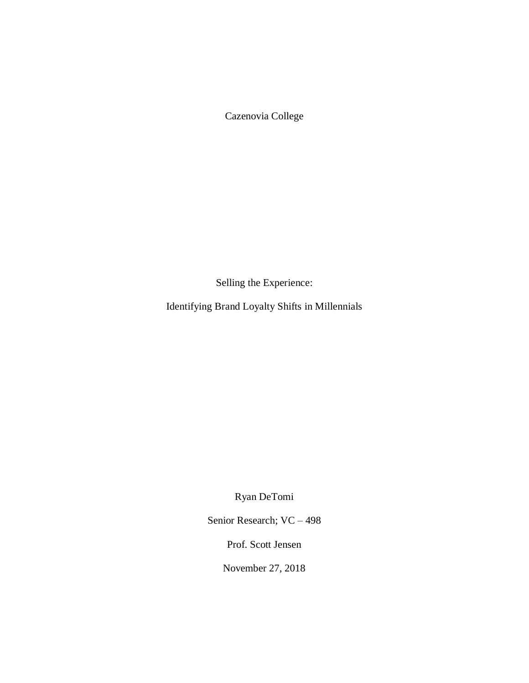Cazenovia College

Selling the Experience:

Identifying Brand Loyalty Shifts in Millennials

Ryan DeTomi

Senior Research; VC – 498

Prof. Scott Jensen

November 27, 2018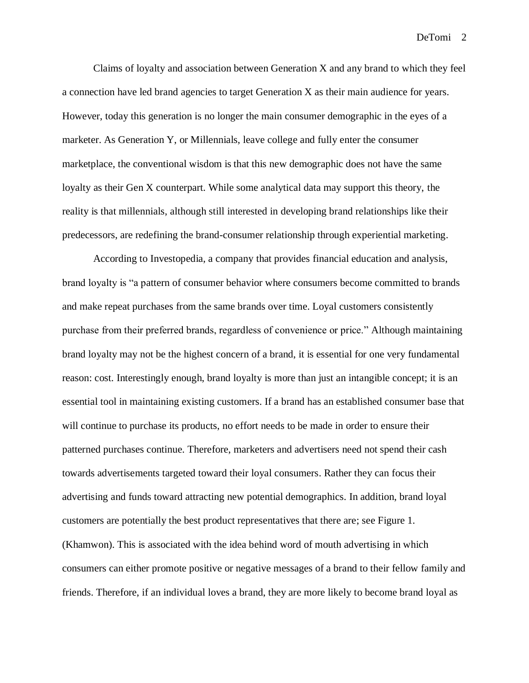Claims of loyalty and association between Generation X and any brand to which they feel a connection have led brand agencies to target Generation X as their main audience for years. However, today this generation is no longer the main consumer demographic in the eyes of a marketer. As Generation Y, or Millennials, leave college and fully enter the consumer marketplace, the conventional wisdom is that this new demographic does not have the same loyalty as their Gen X counterpart. While some analytical data may support this theory, the reality is that millennials, although still interested in developing brand relationships like their predecessors, are redefining the brand-consumer relationship through experiential marketing.

According to Investopedia, a company that provides financial education and analysis, brand loyalty is "a pattern of consumer behavior where consumers become committed to brands and make repeat purchases from the same brands over time. Loyal customers consistently purchase from their preferred brands, regardless of convenience or price." Although maintaining brand loyalty may not be the highest concern of a brand, it is essential for one very fundamental reason: cost. Interestingly enough, brand loyalty is more than just an intangible concept; it is an essential tool in maintaining existing customers. If a brand has an established consumer base that will continue to purchase its products, no effort needs to be made in order to ensure their patterned purchases continue. Therefore, marketers and advertisers need not spend their cash towards advertisements targeted toward their loyal consumers. Rather they can focus their advertising and funds toward attracting new potential demographics. In addition, brand loyal customers are potentially the best product representatives that there are; see Figure 1. (Khamwon). This is associated with the idea behind word of mouth advertising in which consumers can either promote positive or negative messages of a brand to their fellow family and friends. Therefore, if an individual loves a brand, they are more likely to become brand loyal as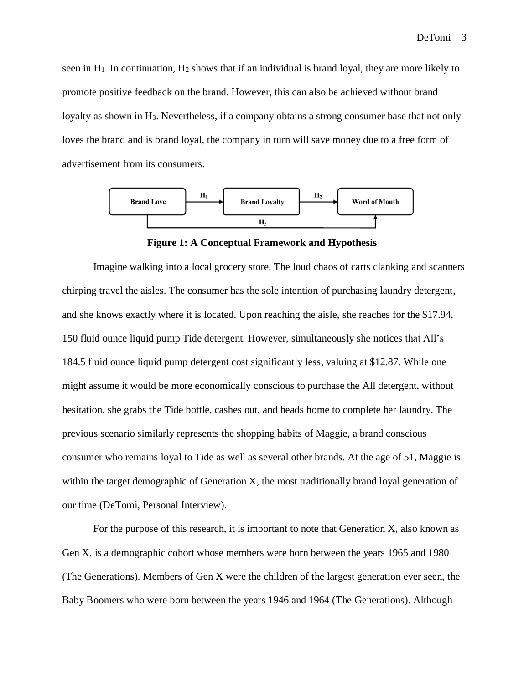seen in  $H_1$ . In continuation,  $H_2$  shows that if an individual is brand loyal, they are more likely to promote positive feedback on the brand. However, this can also be achieved without brand loyalty as shown in H<sub>3</sub>. Nevertheless, if a company obtains a strong consumer base that not only loves the brand and is brand loyal, the company in turn will save money due to a free form of advertisement from its consumers.



**Figure 1: A Conceptual Framework and Hypothesis**

Imagine walking into a local grocery store. The loud chaos of carts clanking and scanners chirping travel the aisles. The consumer has the sole intention of purchasing laundry detergent, and she knows exactly where it is located. Upon reaching the aisle, she reaches for the \$17.94, 150 fluid ounce liquid pump Tide detergent. However, simultaneously she notices that All's 184.5 fluid ounce liquid pump detergent cost significantly less, valuing at \$12.87. While one might assume it would be more economically conscious to purchase the All detergent, without hesitation, she grabs the Tide bottle, cashes out, and heads home to complete her laundry. The previous scenario similarly represents the shopping habits of Maggie, a brand conscious consumer who remains loyal to Tide as well as several other brands. At the age of 51, Maggie is within the target demographic of Generation X, the most traditionally brand loyal generation of our time (DeTomi, Personal Interview).

For the purpose of this research, it is important to note that Generation X, also known as Gen X, is a demographic cohort whose members were born between the years 1965 and 1980 (The Generations). Members of Gen X were the children of the largest generation ever seen, the Baby Boomers who were born between the years 1946 and 1964 (The Generations). Although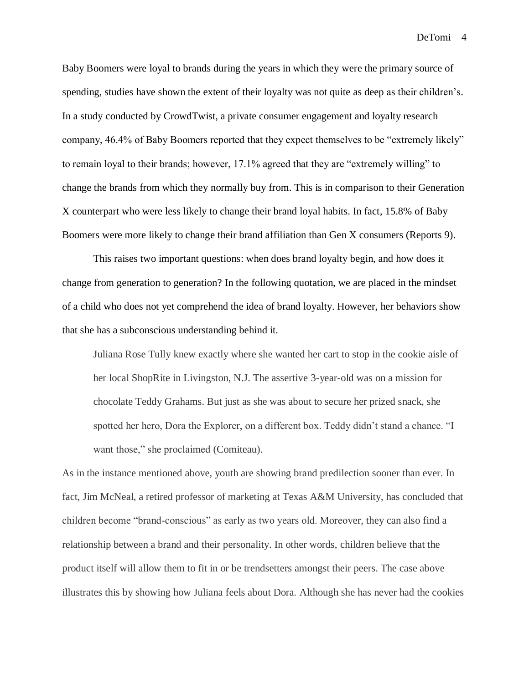Baby Boomers were loyal to brands during the years in which they were the primary source of spending, studies have shown the extent of their loyalty was not quite as deep as their children's. In a study conducted by CrowdTwist, a private consumer engagement and loyalty research company, 46.4% of Baby Boomers reported that they expect themselves to be "extremely likely" to remain loyal to their brands; however, 17.1% agreed that they are "extremely willing" to change the brands from which they normally buy from. This is in comparison to their Generation X counterpart who were less likely to change their brand loyal habits. In fact, 15.8% of Baby Boomers were more likely to change their brand affiliation than Gen X consumers (Reports 9).

This raises two important questions: when does brand loyalty begin, and how does it change from generation to generation? In the following quotation, we are placed in the mindset of a child who does not yet comprehend the idea of brand loyalty. However, her behaviors show that she has a subconscious understanding behind it.

Juliana Rose Tully knew exactly where she wanted her cart to stop in the cookie aisle of her local ShopRite in Livingston, N.J. The assertive 3-year-old was on a mission for chocolate Teddy Grahams. But just as she was about to secure her prized snack, she spotted her hero, Dora the Explorer, on a different box. Teddy didn't stand a chance. "I want those," she proclaimed (Comiteau).

As in the instance mentioned above, youth are showing brand predilection sooner than ever. In fact, Jim McNeal, a retired professor of marketing at Texas A&M University, has concluded that children become "brand-conscious" as early as two years old. Moreover, they can also find a relationship between a brand and their personality. In other words, children believe that the product itself will allow them to fit in or be trendsetters amongst their peers. The case above illustrates this by showing how Juliana feels about Dora. Although she has never had the cookies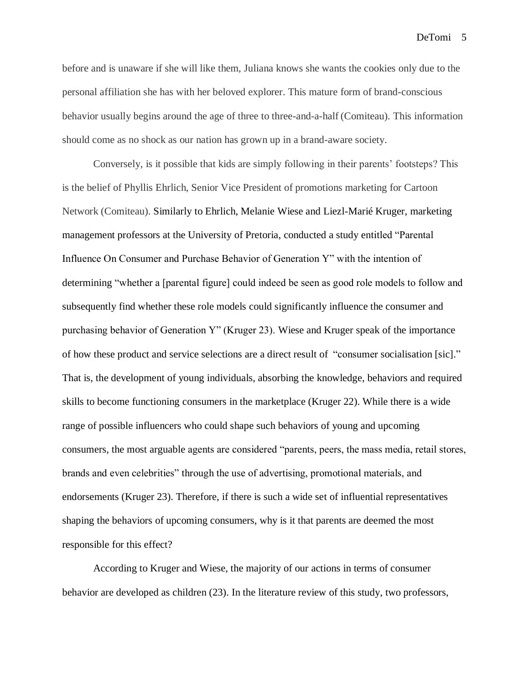before and is unaware if she will like them, Juliana knows she wants the cookies only due to the personal affiliation she has with her beloved explorer. This mature form of brand-conscious behavior usually begins around the age of three to three-and-a-half (Comiteau). This information should come as no shock as our nation has grown up in a brand-aware society.

Conversely, is it possible that kids are simply following in their parents' footsteps? This is the belief of Phyllis Ehrlich, Senior Vice President of promotions marketing for Cartoon Network (Comiteau). Similarly to Ehrlich, Melanie Wiese and Liezl-Marié Kruger, marketing management professors at the University of Pretoria, conducted a study entitled "Parental Influence On Consumer and Purchase Behavior of Generation Y" with the intention of determining "whether a [parental figure] could indeed be seen as good role models to follow and subsequently find whether these role models could significantly influence the consumer and purchasing behavior of Generation Y" (Kruger 23). Wiese and Kruger speak of the importance of how these product and service selections are a direct result of "consumer socialisation [sic]." That is, the development of young individuals, absorbing the knowledge, behaviors and required skills to become functioning consumers in the marketplace (Kruger 22). While there is a wide range of possible influencers who could shape such behaviors of young and upcoming consumers, the most arguable agents are considered "parents, peers, the mass media, retail stores, brands and even celebrities" through the use of advertising, promotional materials, and endorsements (Kruger 23). Therefore, if there is such a wide set of influential representatives shaping the behaviors of upcoming consumers, why is it that parents are deemed the most responsible for this effect?

According to Kruger and Wiese, the majority of our actions in terms of consumer behavior are developed as children (23). In the literature review of this study, two professors,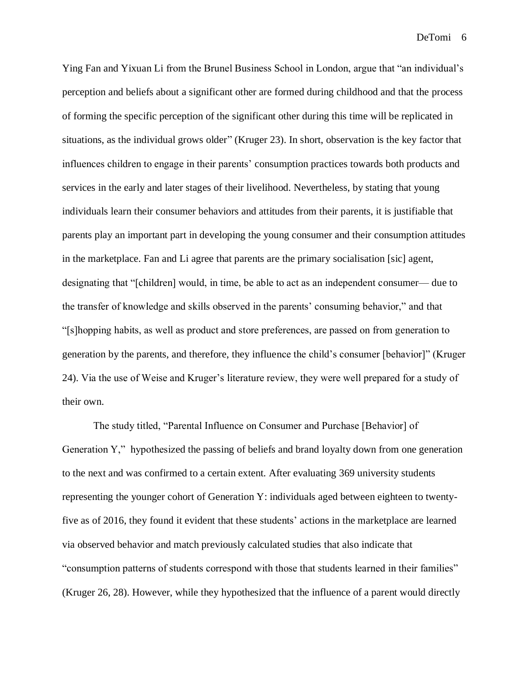Ying Fan and Yixuan Li from the Brunel Business School in London, argue that "an individual's perception and beliefs about a significant other are formed during childhood and that the process of forming the specific perception of the significant other during this time will be replicated in situations, as the individual grows older" (Kruger 23). In short, observation is the key factor that influences children to engage in their parents' consumption practices towards both products and services in the early and later stages of their livelihood. Nevertheless, by stating that young individuals learn their consumer behaviors and attitudes from their parents, it is justifiable that parents play an important part in developing the young consumer and their consumption attitudes in the marketplace. Fan and Li agree that parents are the primary socialisation [sic] agent, designating that "[children] would, in time, be able to act as an independent consumer— due to the transfer of knowledge and skills observed in the parents' consuming behavior," and that "[s]hopping habits, as well as product and store preferences, are passed on from generation to generation by the parents, and therefore, they influence the child's consumer [behavior]" (Kruger 24). Via the use of Weise and Kruger's literature review, they were well prepared for a study of their own.

The study titled, "Parental Influence on Consumer and Purchase [Behavior] of Generation Y," hypothesized the passing of beliefs and brand loyalty down from one generation to the next and was confirmed to a certain extent. After evaluating 369 university students representing the younger cohort of Generation Y: individuals aged between eighteen to twentyfive as of 2016, they found it evident that these students' actions in the marketplace are learned via observed behavior and match previously calculated studies that also indicate that "consumption patterns of students correspond with those that students learned in their families" (Kruger 26, 28). However, while they hypothesized that the influence of a parent would directly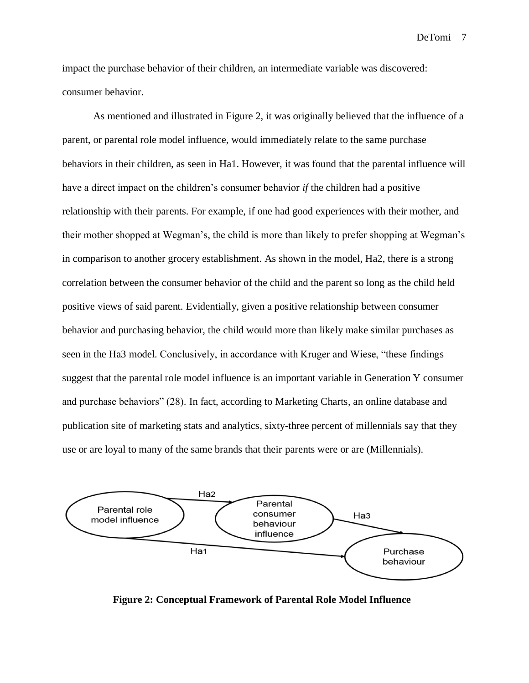impact the purchase behavior of their children, an intermediate variable was discovered: consumer behavior.

As mentioned and illustrated in Figure 2, it was originally believed that the influence of a parent, or parental role model influence, would immediately relate to the same purchase behaviors in their children, as seen in Ha1. However, it was found that the parental influence will have a direct impact on the children's consumer behavior *if* the children had a positive relationship with their parents. For example, if one had good experiences with their mother, and their mother shopped at Wegman's, the child is more than likely to prefer shopping at Wegman's in comparison to another grocery establishment. As shown in the model, Ha2, there is a strong correlation between the consumer behavior of the child and the parent so long as the child held positive views of said parent. Evidentially, given a positive relationship between consumer behavior and purchasing behavior, the child would more than likely make similar purchases as seen in the Ha3 model. Conclusively, in accordance with Kruger and Wiese, "these findings suggest that the parental role model influence is an important variable in Generation Y consumer and purchase behaviors" (28). In fact, according to Marketing Charts, an online database and publication site of marketing stats and analytics, sixty-three percent of millennials say that they use or are loyal to many of the same brands that their parents were or are (Millennials).



**Figure 2: Conceptual Framework of Parental Role Model Influence**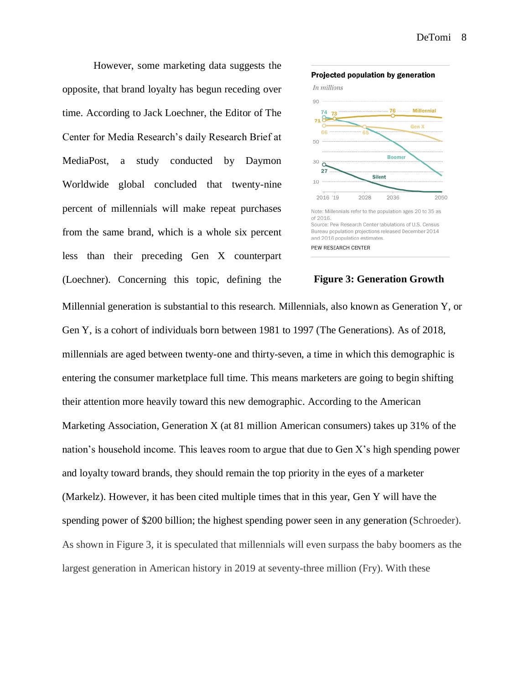However, some marketing data suggests the opposite, that brand loyalty has begun receding over time. According to Jack Loechner, the Editor of The Center for Media Research's daily Research Brief at MediaPost, a study conducted by Daymon Worldwide global concluded that twenty-nine percent of millennials will make repeat purchases from the same brand, which is a whole six percent less than their preceding Gen X counterpart (Loechner). Concerning this topic, defining the



## **Figure 3: Generation Growth**

Millennial generation is substantial to this research. Millennials, also known as Generation Y, or Gen Y, is a cohort of individuals born between 1981 to 1997 (The Generations). As of 2018, millennials are aged between twenty-one and thirty-seven, a time in which this demographic is entering the consumer marketplace full time. This means marketers are going to begin shifting their attention more heavily toward this new demographic. According to the American Marketing Association, Generation X (at 81 million American consumers) takes up 31% of the nation's household income. This leaves room to argue that due to Gen X's high spending power and loyalty toward brands, they should remain the top priority in the eyes of a marketer (Markelz). However, it has been cited multiple times that in this year, Gen Y will have the spending power of \$200 billion; the highest spending power seen in any generation (Schroeder). As shown in Figure 3, it is speculated that millennials will even surpass the baby boomers as the largest generation in American history in 2019 at seventy-three million (Fry). With these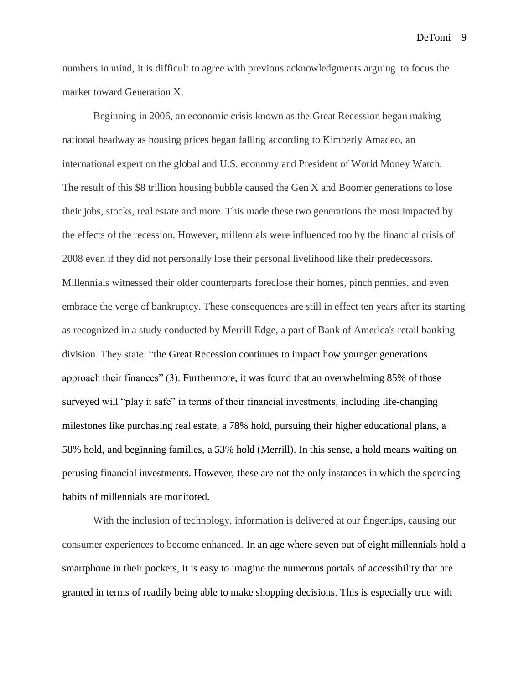numbers in mind, it is difficult to agree with previous acknowledgments arguing to focus the market toward Generation X.

Beginning in 2006, an economic crisis known as the Great Recession began making national headway as housing prices began falling according to Kimberly Amadeo, an international expert on the global and U.S. economy and President of World Money Watch. The result of this \$8 trillion housing bubble caused the Gen X and Boomer generations to lose their jobs, stocks, real estate and more. This made these two generations the most impacted by the effects of the recession. However, millennials were influenced too by the financial crisis of 2008 even if they did not personally lose their personal livelihood like their predecessors. Millennials witnessed their older counterparts foreclose their homes, pinch pennies, and even embrace the verge of bankruptcy. These consequences are still in effect ten years after its starting as recognized in a study conducted by Merrill Edge, a part of Bank of America's retail banking division. They state: "the Great Recession continues to impact how younger generations approach their finances" (3). Furthermore, it was found that an overwhelming 85% of those surveyed will "play it safe" in terms of their financial investments, including life-changing milestones like purchasing real estate, a 78% hold, pursuing their higher educational plans, a 58% hold, and beginning families, a 53% hold (Merrill). In this sense, a hold means waiting on perusing financial investments. However, these are not the only instances in which the spending habits of millennials are monitored.

With the inclusion of technology, information is delivered at our fingertips, causing our consumer experiences to become enhanced. In an age where seven out of eight millennials hold a smartphone in their pockets, it is easy to imagine the numerous portals of accessibility that are granted in terms of readily being able to make shopping decisions. This is especially true with

DeTomi 9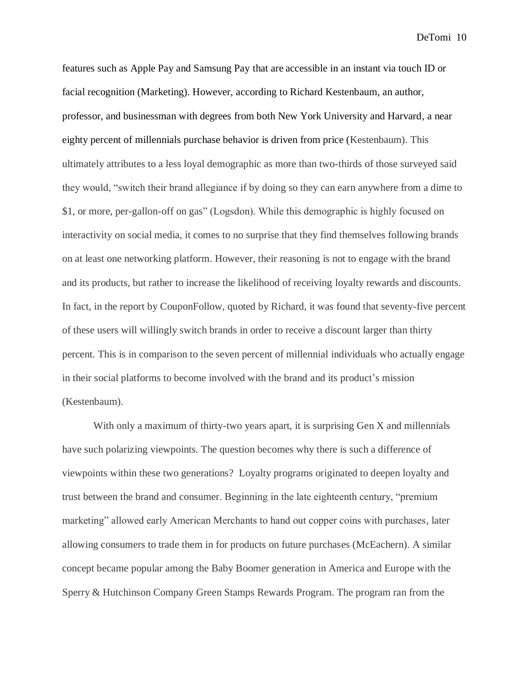features such as Apple Pay and Samsung Pay that are accessible in an instant via touch ID or facial recognition (Marketing). However, according to Richard Kestenbaum, an author, professor, and businessman with degrees from both New York University and Harvard, a near eighty percent of millennials purchase behavior is driven from price (Kestenbaum). This ultimately attributes to a less loyal demographic as more than two-thirds of those surveyed said they would, "switch their brand allegiance if by doing so they can earn anywhere from a dime to \$1, or more, per-gallon-off on gas" (Logsdon). While this demographic is highly focused on interactivity on social media, it comes to no surprise that they find themselves following brands on at least one networking platform. However, their reasoning is not to engage with the brand and its products, but rather to increase the likelihood of receiving loyalty rewards and discounts. In fact, in the report by CouponFollow, quoted by Richard, it was found that seventy-five percent of these users will willingly switch brands in order to receive a discount larger than thirty percent. This is in comparison to the seven percent of millennial individuals who actually engage in their social platforms to become involved with the brand and its product's mission (Kestenbaum).

With only a maximum of thirty-two years apart, it is surprising Gen X and millennials have such polarizing viewpoints. The question becomes why there is such a difference of viewpoints within these two generations? Loyalty programs originated to deepen loyalty and trust between the brand and consumer. Beginning in the late eighteenth century, "premium marketing" allowed early American Merchants to hand out copper coins with purchases, later allowing consumers to trade them in for products on future purchases (McEachern). A similar concept became popular among the Baby Boomer generation in America and Europe with the Sperry & Hutchinson Company Green Stamps Rewards Program. The program ran from the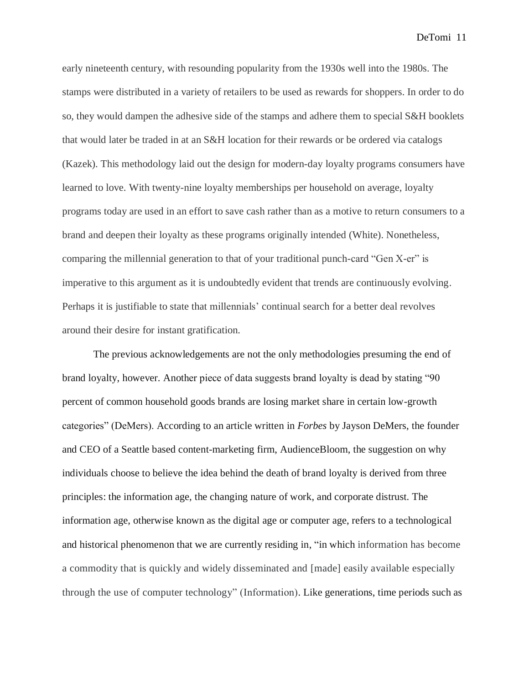early nineteenth century, with resounding popularity from the 1930s well into the 1980s. The stamps were distributed in a variety of retailers to be used as rewards for shoppers. In order to do so, they would dampen the adhesive side of the stamps and adhere them to special S&H booklets that would later be traded in at an S&H location for their rewards or be ordered via catalogs (Kazek). This methodology laid out the design for modern-day loyalty programs consumers have learned to love. With twenty-nine loyalty memberships per household on average, loyalty programs today are used in an effort to save cash rather than as a motive to return consumers to a brand and deepen their loyalty as these programs originally intended (White). Nonetheless, comparing the millennial generation to that of your traditional punch-card "Gen X-er" is imperative to this argument as it is undoubtedly evident that trends are continuously evolving. Perhaps it is justifiable to state that millennials' continual search for a better deal revolves around their desire for instant gratification.

The previous acknowledgements are not the only methodologies presuming the end of brand loyalty, however. Another piece of data suggests brand loyalty is dead by stating "90 percent of common household goods brands are losing market share in certain low-growth categories" (DeMers). According to an article written in *Forbes* by Jayson DeMers, the founder and CEO of a Seattle based content-marketing firm, AudienceBloom, the suggestion on why individuals choose to believe the idea behind the death of brand loyalty is derived from three principles: the information age, the changing nature of work, and corporate distrust. The information age, otherwise known as the digital age or computer age, refers to a technological and historical phenomenon that we are currently residing in, "in which information has become a commodity that is quickly and widely disseminated and [made] easily available especially through the use of computer technology" (Information). Like generations, time periods such as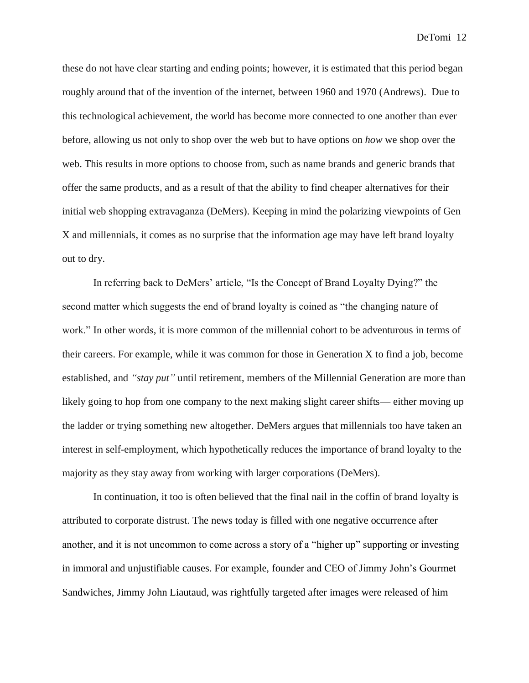these do not have clear starting and ending points; however, it is estimated that this period began roughly around that of the invention of the internet, between 1960 and 1970 (Andrews). Due to this technological achievement, the world has become more connected to one another than ever before, allowing us not only to shop over the web but to have options on *how* we shop over the web. This results in more options to choose from, such as name brands and generic brands that offer the same products, and as a result of that the ability to find cheaper alternatives for their initial web shopping extravaganza (DeMers). Keeping in mind the polarizing viewpoints of Gen X and millennials, it comes as no surprise that the information age may have left brand loyalty out to dry.

In referring back to DeMers' article, "Is the Concept of Brand Loyalty Dying?" the second matter which suggests the end of brand loyalty is coined as "the changing nature of work." In other words, it is more common of the millennial cohort to be adventurous in terms of their careers. For example, while it was common for those in Generation X to find a job, become established, and *"stay put"* until retirement, members of the Millennial Generation are more than likely going to hop from one company to the next making slight career shifts— either moving up the ladder or trying something new altogether. DeMers argues that millennials too have taken an interest in self-employment, which hypothetically reduces the importance of brand loyalty to the majority as they stay away from working with larger corporations (DeMers).

In continuation, it too is often believed that the final nail in the coffin of brand loyalty is attributed to corporate distrust. The news today is filled with one negative occurrence after another, and it is not uncommon to come across a story of a "higher up" supporting or investing in immoral and unjustifiable causes. For example, founder and CEO of Jimmy John's Gourmet Sandwiches, Jimmy John Liautaud, was rightfully targeted after images were released of him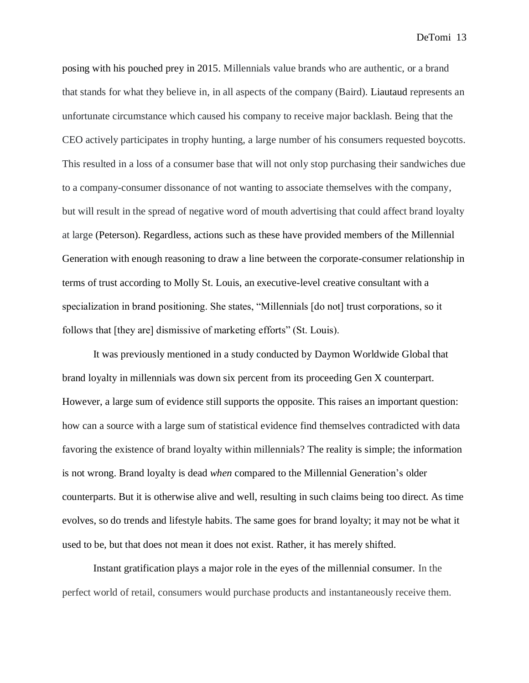posing with his pouched prey in 2015. Millennials value brands who are authentic, or a brand that stands for what they believe in, in all aspects of the company (Baird). Liautaud represents an unfortunate circumstance which caused his company to receive major backlash. Being that the CEO actively participates in trophy hunting, a large number of his consumers requested boycotts. This resulted in a loss of a consumer base that will not only stop purchasing their sandwiches due to a company-consumer dissonance of not wanting to associate themselves with the company, but will result in the spread of negative word of mouth advertising that could affect brand loyalty at large (Peterson). Regardless, actions such as these have provided members of the Millennial Generation with enough reasoning to draw a line between the corporate-consumer relationship in terms of trust according to Molly St. Louis, an executive-level creative consultant with a specialization in brand positioning. She states, "Millennials [do not] trust corporations, so it follows that [they are] dismissive of marketing efforts" (St. Louis).

It was previously mentioned in a study conducted by Daymon Worldwide Global that brand loyalty in millennials was down six percent from its proceeding Gen X counterpart. However, a large sum of evidence still supports the opposite. This raises an important question: how can a source with a large sum of statistical evidence find themselves contradicted with data favoring the existence of brand loyalty within millennials? The reality is simple; the information is not wrong. Brand loyalty is dead *when* compared to the Millennial Generation's older counterparts. But it is otherwise alive and well, resulting in such claims being too direct. As time evolves, so do trends and lifestyle habits. The same goes for brand loyalty; it may not be what it used to be, but that does not mean it does not exist. Rather, it has merely shifted.

Instant gratification plays a major role in the eyes of the millennial consumer. In the perfect world of retail, consumers would purchase products and instantaneously receive them.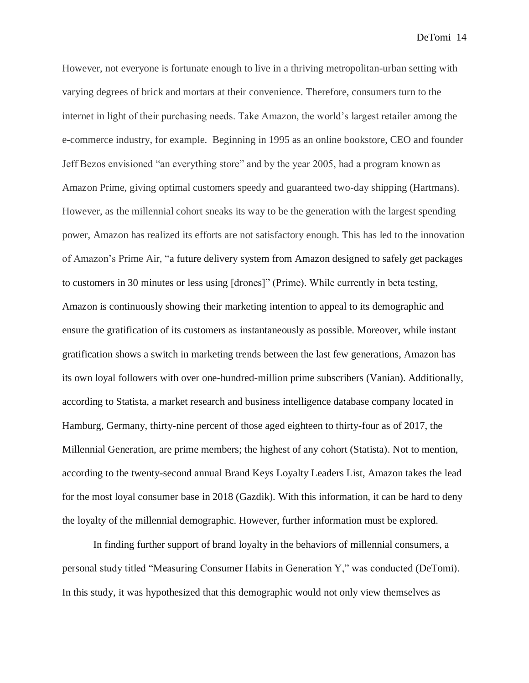However, not everyone is fortunate enough to live in a thriving metropolitan-urban setting with varying degrees of brick and mortars at their convenience. Therefore, consumers turn to the internet in light of their purchasing needs. Take Amazon, the world's largest retailer among the e-commerce industry, for example. Beginning in 1995 as an online bookstore, CEO and founder Jeff Bezos envisioned "an everything store" and by the year 2005, had a program known as Amazon Prime, giving optimal customers speedy and guaranteed two-day shipping (Hartmans). However, as the millennial cohort sneaks its way to be the generation with the largest spending power, Amazon has realized its efforts are not satisfactory enough. This has led to the innovation of Amazon's Prime Air, "a future delivery system from Amazon designed to safely get packages to customers in 30 minutes or less using [drones]" (Prime). While currently in beta testing, Amazon is continuously showing their marketing intention to appeal to its demographic and ensure the gratification of its customers as instantaneously as possible. Moreover, while instant gratification shows a switch in marketing trends between the last few generations, Amazon has its own loyal followers with over one-hundred-million prime subscribers (Vanian). Additionally, according to Statista, a market research and business intelligence database company located in Hamburg, Germany, thirty-nine percent of those aged eighteen to thirty-four as of 2017, the Millennial Generation, are prime members; the highest of any cohort (Statista). Not to mention, according to the twenty-second annual Brand Keys Loyalty Leaders List, Amazon takes the lead for the most loyal consumer base in 2018 (Gazdik). With this information, it can be hard to deny the loyalty of the millennial demographic. However, further information must be explored.

In finding further support of brand loyalty in the behaviors of millennial consumers, a personal study titled "Measuring Consumer Habits in Generation Y," was conducted (DeTomi). In this study, it was hypothesized that this demographic would not only view themselves as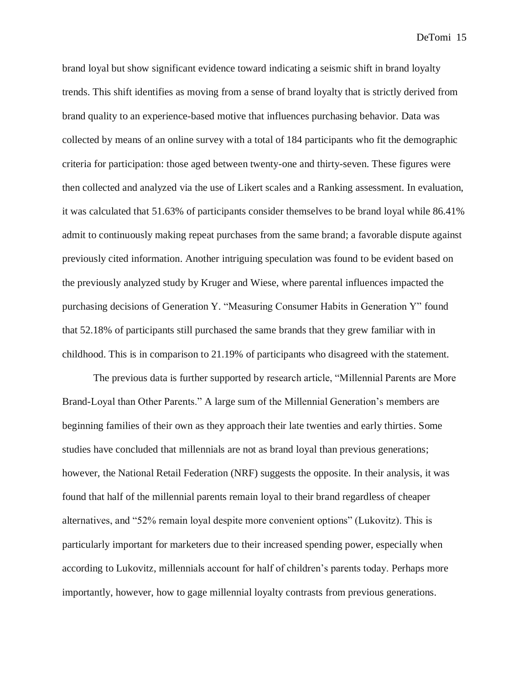brand loyal but show significant evidence toward indicating a seismic shift in brand loyalty trends. This shift identifies as moving from a sense of brand loyalty that is strictly derived from brand quality to an experience-based motive that influences purchasing behavior. Data was collected by means of an online survey with a total of 184 participants who fit the demographic criteria for participation: those aged between twenty-one and thirty-seven. These figures were then collected and analyzed via the use of Likert scales and a Ranking assessment. In evaluation, it was calculated that 51.63% of participants consider themselves to be brand loyal while 86.41% admit to continuously making repeat purchases from the same brand; a favorable dispute against previously cited information. Another intriguing speculation was found to be evident based on the previously analyzed study by Kruger and Wiese, where parental influences impacted the purchasing decisions of Generation Y. "Measuring Consumer Habits in Generation Y" found that 52.18% of participants still purchased the same brands that they grew familiar with in childhood. This is in comparison to 21.19% of participants who disagreed with the statement.

The previous data is further supported by research article, "Millennial Parents are More Brand-Loyal than Other Parents." A large sum of the Millennial Generation's members are beginning families of their own as they approach their late twenties and early thirties. Some studies have concluded that millennials are not as brand loyal than previous generations; however, the National Retail Federation (NRF) suggests the opposite. In their analysis, it was found that half of the millennial parents remain loyal to their brand regardless of cheaper alternatives, and "52% remain loyal despite more convenient options" (Lukovitz). This is particularly important for marketers due to their increased spending power, especially when according to Lukovitz, millennials account for half of children's parents today. Perhaps more importantly, however, how to gage millennial loyalty contrasts from previous generations.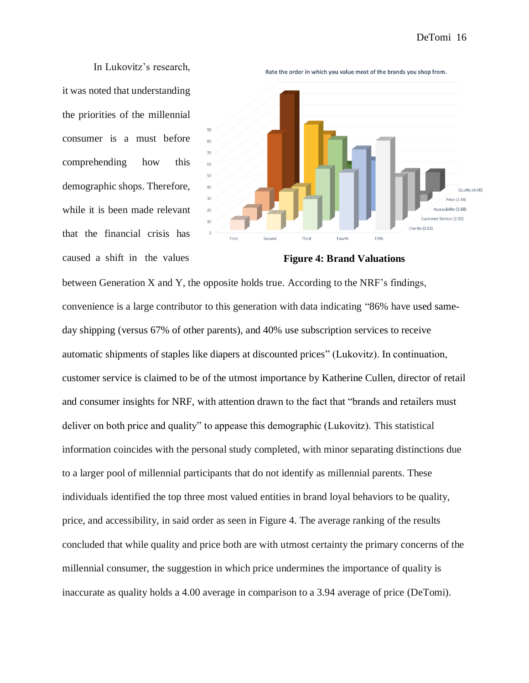In Lukovitz's research, it was noted that understanding the priorities of the millennial consumer is a must before comprehending how this demographic shops. Therefore, while it is been made relevant that the financial crisis has caused a shift in the values



**Figure 4: Brand Valuations**

between Generation X and Y, the opposite holds true. According to the NRF's findings, convenience is a large contributor to this generation with data indicating "86% have used sameday shipping (versus 67% of other parents), and 40% use subscription services to receive automatic shipments of staples like diapers at discounted prices" (Lukovitz). In continuation, customer service is claimed to be of the utmost importance by Katherine Cullen, director of retail and consumer insights for NRF, with attention drawn to the fact that "brands and retailers must deliver on both price and quality" to appease this demographic (Lukovitz). This statistical information coincides with the personal study completed, with minor separating distinctions due to a larger pool of millennial participants that do not identify as millennial parents. These individuals identified the top three most valued entities in brand loyal behaviors to be quality, price, and accessibility, in said order as seen in Figure 4. The average ranking of the results concluded that while quality and price both are with utmost certainty the primary concerns of the millennial consumer, the suggestion in which price undermines the importance of quality is inaccurate as quality holds a 4.00 average in comparison to a 3.94 average of price (DeTomi).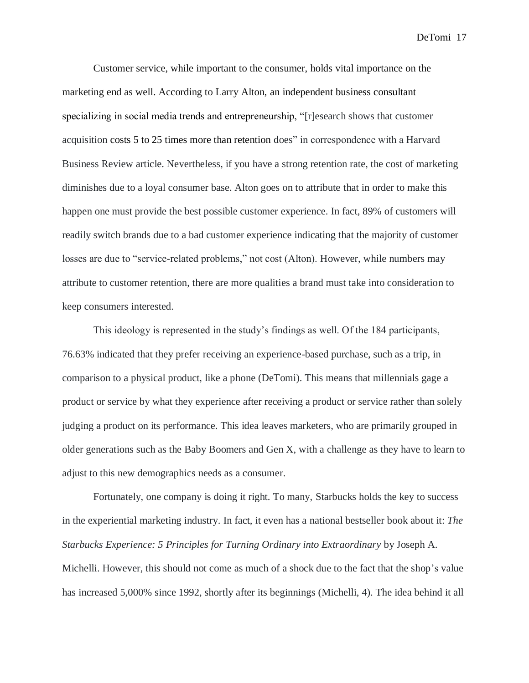Customer service, while important to the consumer, holds vital importance on the marketing end as well. According to Larry Alton, an independent business consultant specializing in social media trends and entrepreneurship, "[r]esearch shows that customer acquisition costs 5 to 25 times more than retention does" in correspondence with a Harvard Business Review article. Nevertheless, if you have a strong retention rate, the cost of marketing diminishes due to a loyal consumer base. Alton goes on to attribute that in order to make this happen one must provide the best possible customer experience. In fact, 89% of customers will readily switch brands due to a bad customer experience indicating that the majority of customer losses are due to "service-related problems," not cost (Alton). However, while numbers may attribute to customer retention, there are more qualities a brand must take into consideration to keep consumers interested.

This ideology is represented in the study's findings as well. Of the 184 participants, 76.63% indicated that they prefer receiving an experience-based purchase, such as a trip, in comparison to a physical product, like a phone (DeTomi). This means that millennials gage a product or service by what they experience after receiving a product or service rather than solely judging a product on its performance. This idea leaves marketers, who are primarily grouped in older generations such as the Baby Boomers and Gen X, with a challenge as they have to learn to adjust to this new demographics needs as a consumer.

Fortunately, one company is doing it right. To many, Starbucks holds the key to success in the experiential marketing industry. In fact, it even has a national bestseller book about it: *The Starbucks Experience: 5 Principles for Turning Ordinary into Extraordinary* by Joseph A. Michelli. However, this should not come as much of a shock due to the fact that the shop's value has increased 5,000% since 1992, shortly after its beginnings (Michelli, 4). The idea behind it all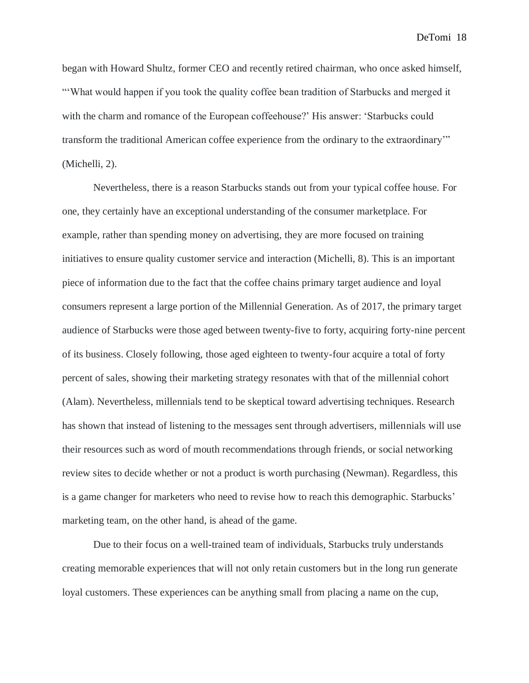began with Howard Shultz, former CEO and recently retired chairman, who once asked himself, "'What would happen if you took the quality coffee bean tradition of Starbucks and merged it with the charm and romance of the European coffeehouse?' His answer: 'Starbucks could transform the traditional American coffee experience from the ordinary to the extraordinary'" (Michelli, 2).

Nevertheless, there is a reason Starbucks stands out from your typical coffee house. For one, they certainly have an exceptional understanding of the consumer marketplace. For example, rather than spending money on advertising, they are more focused on training initiatives to ensure quality customer service and interaction (Michelli, 8). This is an important piece of information due to the fact that the coffee chains primary target audience and loyal consumers represent a large portion of the Millennial Generation. As of 2017, the primary target audience of Starbucks were those aged between twenty-five to forty, acquiring forty-nine percent of its business. Closely following, those aged eighteen to twenty-four acquire a total of forty percent of sales, showing their marketing strategy resonates with that of the millennial cohort (Alam). Nevertheless, millennials tend to be skeptical toward advertising techniques. Research has shown that instead of listening to the messages sent through advertisers, millennials will use their resources such as word of mouth recommendations through friends, or social networking review sites to decide whether or not a product is worth purchasing (Newman). Regardless, this is a game changer for marketers who need to revise how to reach this demographic. Starbucks' marketing team, on the other hand, is ahead of the game.

Due to their focus on a well-trained team of individuals, Starbucks truly understands creating memorable experiences that will not only retain customers but in the long run generate loyal customers. These experiences can be anything small from placing a name on the cup,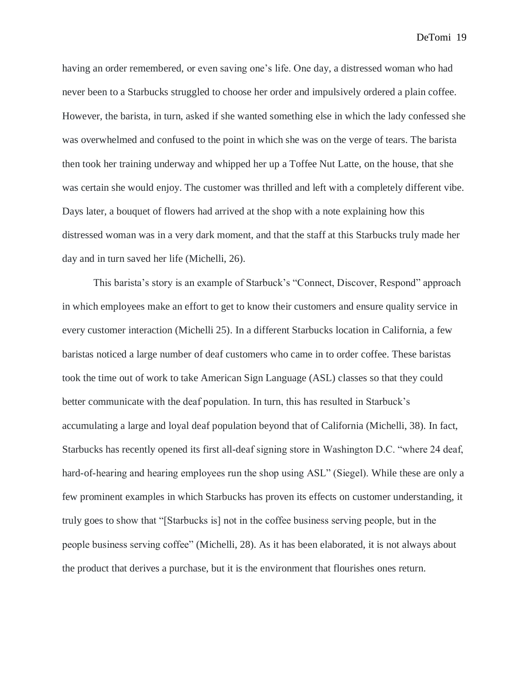having an order remembered, or even saving one's life. One day, a distressed woman who had never been to a Starbucks struggled to choose her order and impulsively ordered a plain coffee. However, the barista, in turn, asked if she wanted something else in which the lady confessed she was overwhelmed and confused to the point in which she was on the verge of tears. The barista then took her training underway and whipped her up a Toffee Nut Latte, on the house, that she was certain she would enjoy. The customer was thrilled and left with a completely different vibe. Days later, a bouquet of flowers had arrived at the shop with a note explaining how this distressed woman was in a very dark moment, and that the staff at this Starbucks truly made her day and in turn saved her life (Michelli, 26).

This barista's story is an example of Starbuck's "Connect, Discover, Respond" approach in which employees make an effort to get to know their customers and ensure quality service in every customer interaction (Michelli 25). In a different Starbucks location in California, a few baristas noticed a large number of deaf customers who came in to order coffee. These baristas took the time out of work to take American Sign Language (ASL) classes so that they could better communicate with the deaf population. In turn, this has resulted in Starbuck's accumulating a large and loyal deaf population beyond that of California (Michelli, 38). In fact, Starbucks has recently opened its first all-deaf signing store in Washington D.C. "where 24 deaf, hard-of-hearing and hearing employees run the shop using ASL" (Siegel). While these are only a few prominent examples in which Starbucks has proven its effects on customer understanding, it truly goes to show that "[Starbucks is] not in the coffee business serving people, but in the people business serving coffee" (Michelli, 28). As it has been elaborated, it is not always about the product that derives a purchase, but it is the environment that flourishes ones return.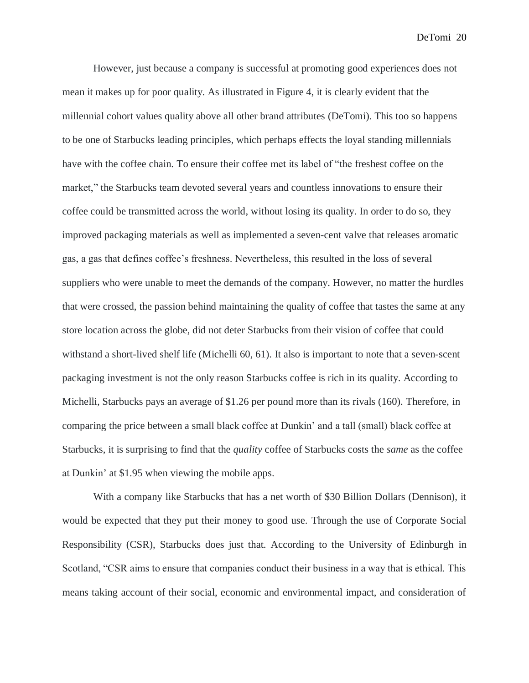However, just because a company is successful at promoting good experiences does not mean it makes up for poor quality. As illustrated in Figure 4, it is clearly evident that the millennial cohort values quality above all other brand attributes (DeTomi). This too so happens to be one of Starbucks leading principles, which perhaps effects the loyal standing millennials have with the coffee chain. To ensure their coffee met its label of "the freshest coffee on the market," the Starbucks team devoted several years and countless innovations to ensure their coffee could be transmitted across the world, without losing its quality. In order to do so, they improved packaging materials as well as implemented a seven-cent valve that releases aromatic gas, a gas that defines coffee's freshness. Nevertheless, this resulted in the loss of several suppliers who were unable to meet the demands of the company. However, no matter the hurdles that were crossed, the passion behind maintaining the quality of coffee that tastes the same at any store location across the globe, did not deter Starbucks from their vision of coffee that could withstand a short-lived shelf life (Michelli 60, 61). It also is important to note that a seven-scent packaging investment is not the only reason Starbucks coffee is rich in its quality. According to Michelli, Starbucks pays an average of \$1.26 per pound more than its rivals (160). Therefore, in comparing the price between a small black coffee at Dunkin' and a tall (small) black coffee at Starbucks, it is surprising to find that the *quality* coffee of Starbucks costs the *same* as the coffee at Dunkin' at \$1.95 when viewing the mobile apps.

With a company like Starbucks that has a net worth of \$30 Billion Dollars (Dennison), it would be expected that they put their money to good use. Through the use of Corporate Social Responsibility (CSR), Starbucks does just that. According to the University of Edinburgh in Scotland, "CSR aims to ensure that companies conduct their business in a way that is ethical. This means taking account of their social, economic and environmental impact, and consideration of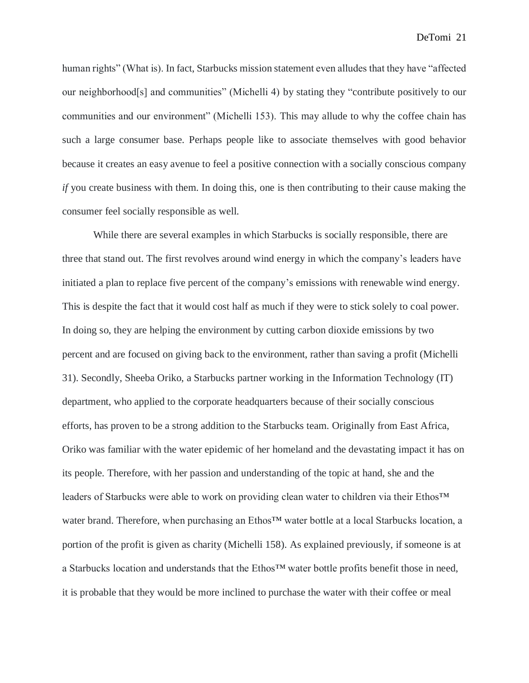human rights" (What is). In fact, Starbucks mission statement even alludes that they have "affected our neighborhood[s] and communities" (Michelli 4) by stating they "contribute positively to our communities and our environment" (Michelli 153). This may allude to why the coffee chain has such a large consumer base. Perhaps people like to associate themselves with good behavior because it creates an easy avenue to feel a positive connection with a socially conscious company *if* you create business with them. In doing this, one is then contributing to their cause making the consumer feel socially responsible as well.

While there are several examples in which Starbucks is socially responsible, there are three that stand out. The first revolves around wind energy in which the company's leaders have initiated a plan to replace five percent of the company's emissions with renewable wind energy. This is despite the fact that it would cost half as much if they were to stick solely to coal power. In doing so, they are helping the environment by cutting carbon dioxide emissions by two percent and are focused on giving back to the environment, rather than saving a profit (Michelli 31). Secondly, Sheeba Oriko, a Starbucks partner working in the Information Technology (IT) department, who applied to the corporate headquarters because of their socially conscious efforts, has proven to be a strong addition to the Starbucks team. Originally from East Africa, Oriko was familiar with the water epidemic of her homeland and the devastating impact it has on its people. Therefore, with her passion and understanding of the topic at hand, she and the leaders of Starbucks were able to work on providing clean water to children via their Ethos™ water brand. Therefore, when purchasing an Ethos™ water bottle at a local Starbucks location, a portion of the profit is given as charity (Michelli 158). As explained previously, if someone is at a Starbucks location and understands that the Ethos™ water bottle profits benefit those in need, it is probable that they would be more inclined to purchase the water with their coffee or meal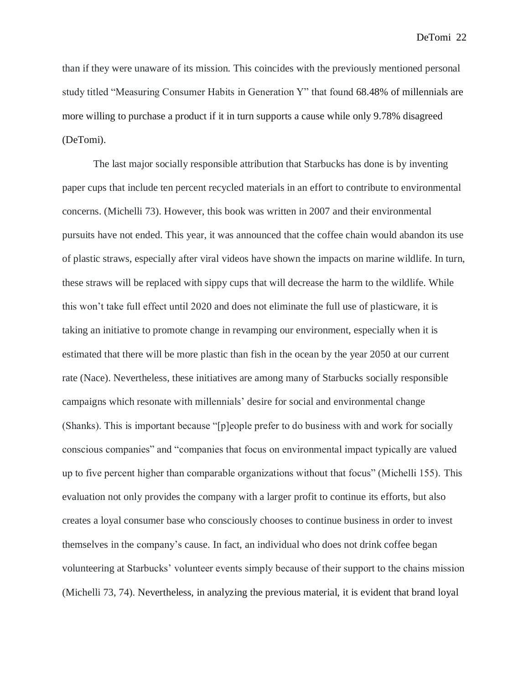than if they were unaware of its mission. This coincides with the previously mentioned personal study titled "Measuring Consumer Habits in Generation Y" that found 68.48% of millennials are more willing to purchase a product if it in turn supports a cause while only 9.78% disagreed (DeTomi).

The last major socially responsible attribution that Starbucks has done is by inventing paper cups that include ten percent recycled materials in an effort to contribute to environmental concerns. (Michelli 73). However, this book was written in 2007 and their environmental pursuits have not ended. This year, it was announced that the coffee chain would abandon its use of plastic straws, especially after viral videos have shown the impacts on marine wildlife. In turn, these straws will be replaced with sippy cups that will decrease the harm to the wildlife. While this won't take full effect until 2020 and does not eliminate the full use of plasticware, it is taking an initiative to promote change in revamping our environment, especially when it is estimated that there will be more plastic than fish in the ocean by the year 2050 at our current rate (Nace). Nevertheless, these initiatives are among many of Starbucks socially responsible campaigns which resonate with millennials' desire for social and environmental change (Shanks). This is important because "[p]eople prefer to do business with and work for socially conscious companies" and "companies that focus on environmental impact typically are valued up to five percent higher than comparable organizations without that focus" (Michelli 155). This evaluation not only provides the company with a larger profit to continue its efforts, but also creates a loyal consumer base who consciously chooses to continue business in order to invest themselves in the company's cause. In fact, an individual who does not drink coffee began volunteering at Starbucks' volunteer events simply because of their support to the chains mission (Michelli 73, 74). Nevertheless, in analyzing the previous material, it is evident that brand loyal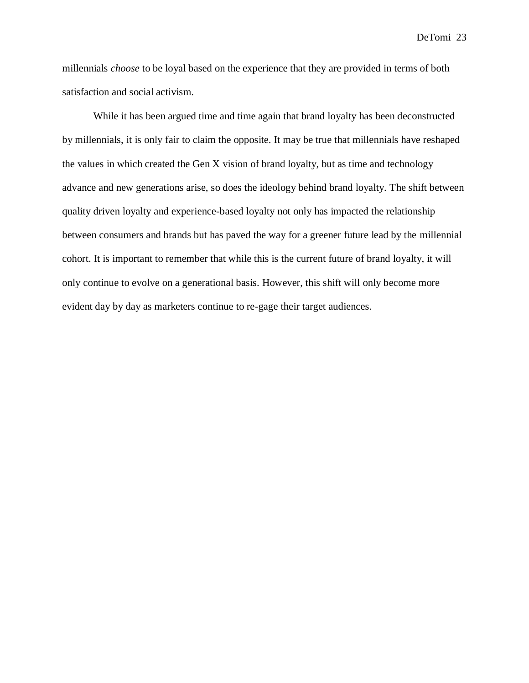millennials *choose* to be loyal based on the experience that they are provided in terms of both satisfaction and social activism.

While it has been argued time and time again that brand loyalty has been deconstructed by millennials, it is only fair to claim the opposite. It may be true that millennials have reshaped the values in which created the Gen X vision of brand loyalty, but as time and technology advance and new generations arise, so does the ideology behind brand loyalty. The shift between quality driven loyalty and experience-based loyalty not only has impacted the relationship between consumers and brands but has paved the way for a greener future lead by the millennial cohort. It is important to remember that while this is the current future of brand loyalty, it will only continue to evolve on a generational basis. However, this shift will only become more evident day by day as marketers continue to re-gage their target audiences.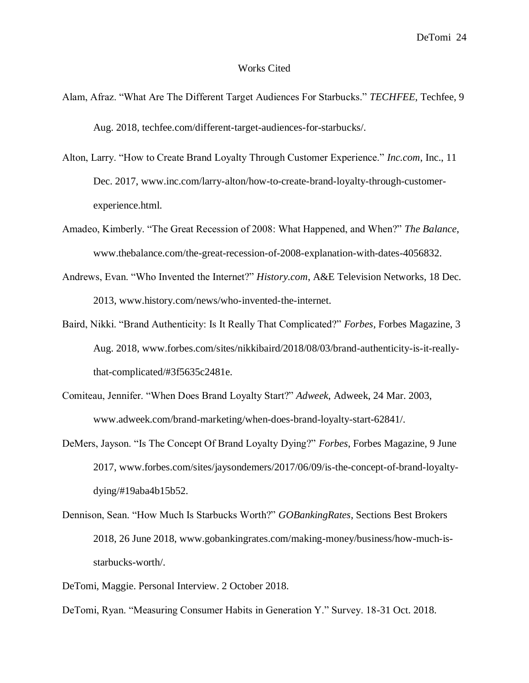## Works Cited

- Alam, Afraz. "What Are The Different Target Audiences For Starbucks." *TECHFEE*, Techfee, 9 Aug. 2018, techfee.com/different-target-audiences-for-starbucks/.
- Alton, Larry. "How to Create Brand Loyalty Through Customer Experience." *Inc.com*, Inc., 11 Dec. 2017, www.inc.com/larry-alton/how-to-create-brand-loyalty-through-customerexperience.html.
- Amadeo, Kimberly. "The Great Recession of 2008: What Happened, and When?" *The Balance*, www.thebalance.com/the-great-recession-of-2008-explanation-with-dates-4056832.
- Andrews, Evan. "Who Invented the Internet?" *History.com*, A&E Television Networks, 18 Dec. 2013, www.history.com/news/who-invented-the-internet.
- Baird, Nikki. "Brand Authenticity: Is It Really That Complicated?" *Forbes*, Forbes Magazine, 3 Aug. 2018, www.forbes.com/sites/nikkibaird/2018/08/03/brand-authenticity-is-it-reallythat-complicated/#3f5635c2481e.
- Comiteau, Jennifer. "When Does Brand Loyalty Start?" *Adweek*, Adweek, 24 Mar. 2003, www.adweek.com/brand-marketing/when-does-brand-loyalty-start-62841/.
- DeMers, Jayson. "Is The Concept Of Brand Loyalty Dying?" *Forbes*, Forbes Magazine, 9 June 2017, www.forbes.com/sites/jaysondemers/2017/06/09/is-the-concept-of-brand-loyaltydying/#19aba4b15b52.
- Dennison, Sean. "How Much Is Starbucks Worth?" *GOBankingRates*, Sections Best Brokers 2018, 26 June 2018, www.gobankingrates.com/making-money/business/how-much-isstarbucks-worth/.
- DeTomi, Maggie. Personal Interview. 2 October 2018.
- DeTomi, Ryan. "Measuring Consumer Habits in Generation Y." Survey. 18-31 Oct. 2018.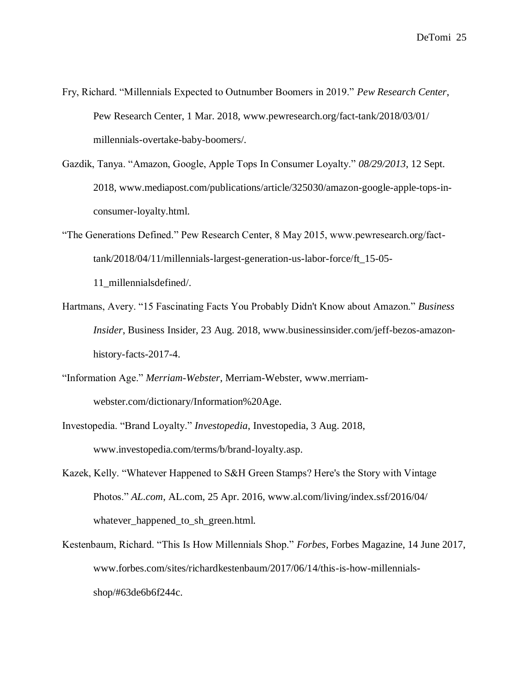- Fry, Richard. "Millennials Expected to Outnumber Boomers in 2019." *Pew Research Center*, Pew Research Center, 1 Mar. 2018, www.pewresearch.org/fact-tank/2018/03/01/ millennials-overtake-baby-boomers/.
- Gazdik, Tanya. "Amazon, Google, Apple Tops In Consumer Loyalty." *08/29/2013*, 12 Sept. 2018, www.mediapost.com/publications/article/325030/amazon-google-apple-tops-inconsumer-loyalty.html.
- "The Generations Defined." Pew Research Center, 8 May 2015, www.pewresearch.org/facttank/2018/04/11/millennials-largest-generation-us-labor-force/ft\_15-05-

11\_millennialsdefined/.

- Hartmans, Avery. "15 Fascinating Facts You Probably Didn't Know about Amazon." *Business Insider*, Business Insider, 23 Aug. 2018, www.businessinsider.com/jeff-bezos-amazonhistory-facts-2017-4.
- "Information Age." *Merriam-Webster*, Merriam-Webster, www.merriamwebster.com/dictionary/Information%20Age.
- Investopedia. "Brand Loyalty." *Investopedia*, Investopedia, 3 Aug. 2018, www.investopedia.com/terms/b/brand-loyalty.asp.
- Kazek, Kelly. "Whatever Happened to S&H Green Stamps? Here's the Story with Vintage Photos." *AL.com*, AL.com, 25 Apr. 2016, www.al.com/living/index.ssf/2016/04/ whatever\_happened\_to\_sh\_green.html.
- Kestenbaum, Richard. "This Is How Millennials Shop." *Forbes*, Forbes Magazine, 14 June 2017, www.forbes.com/sites/richardkestenbaum/2017/06/14/this-is-how-millennialsshop/#63de6b6f244c.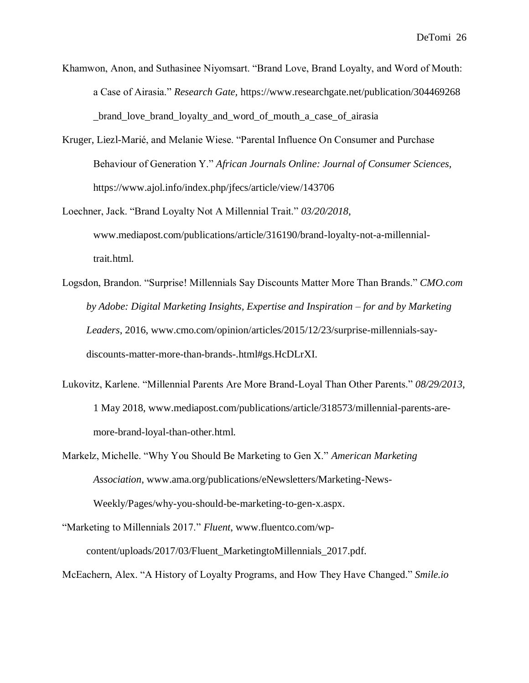- Khamwon, Anon, and Suthasinee Niyomsart. "Brand Love, Brand Loyalty, and Word of Mouth: a Case of Airasia." *Research Gate,* https://www.researchgate.net/publication/304469268 \_brand\_love\_brand\_loyalty\_and\_word\_of\_mouth\_a\_case\_of\_airasia
- Kruger, Liezl-Marié, and Melanie Wiese. "Parental Influence On Consumer and Purchase Behaviour of Generation Y." *African Journals Online: Journal of Consumer Sciences,* https://www.ajol.info/index.php/jfecs/article/view/143706
- Loechner, Jack. "Brand Loyalty Not A Millennial Trait." *03/20/2018*, www.mediapost.com/publications/article/316190/brand-loyalty-not-a-millennialtrait.html.
- Logsdon, Brandon. "Surprise! Millennials Say Discounts Matter More Than Brands." *CMO.com by Adobe: Digital Marketing Insights, Expertise and Inspiration – for and by Marketing Leaders*, 2016, www.cmo.com/opinion/articles/2015/12/23/surprise-millennials-saydiscounts-matter-more-than-brands-.html#gs.HcDLrXI.
- Lukovitz, Karlene. "Millennial Parents Are More Brand-Loyal Than Other Parents." *08/29/2013*, 1 May 2018, www.mediapost.com/publications/article/318573/millennial-parents-aremore-brand-loyal-than-other.html.
- Markelz, Michelle. "Why You Should Be Marketing to Gen X." *American Marketing Association*, www.ama.org/publications/eNewsletters/Marketing-News-Weekly/Pages/why-you-should-be-marketing-to-gen-x.aspx.

"Marketing to Millennials 2017." *Fluent*, www.fluentco.com/wpcontent/uploads/2017/03/Fluent\_MarketingtoMillennials\_2017.pdf.

McEachern, Alex. "A History of Loyalty Programs, and How They Have Changed." *Smile.io*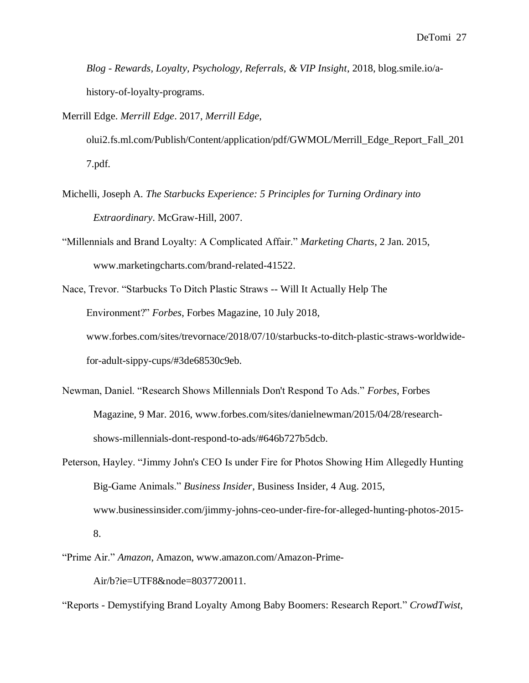*Blog - Rewards, Loyalty, Psychology, Referrals, & VIP Insight*, 2018, blog.smile.io/ahistory-of-loyalty-programs.

Merrill Edge. *Merrill Edge*. 2017, *Merrill Edge*,

olui2.fs.ml.com/Publish/Content/application/pdf/GWMOL/Merrill\_Edge\_Report\_Fall\_201 7.pdf.

- Michelli, Joseph A. *The Starbucks Experience: 5 Principles for Turning Ordinary into Extraordinary*. McGraw-Hill, 2007.
- "Millennials and Brand Loyalty: A Complicated Affair." *Marketing Charts*, 2 Jan. 2015, www.marketingcharts.com/brand-related-41522.
- Nace, Trevor. "Starbucks To Ditch Plastic Straws -- Will It Actually Help The Environment?" *Forbes*, Forbes Magazine, 10 July 2018, www.forbes.com/sites/trevornace/2018/07/10/starbucks-to-ditch-plastic-straws-worldwidefor-adult-sippy-cups/#3de68530c9eb.
- Newman, Daniel. "Research Shows Millennials Don't Respond To Ads." *Forbes*, Forbes Magazine, 9 Mar. 2016, www.forbes.com/sites/danielnewman/2015/04/28/researchshows-millennials-dont-respond-to-ads/#646b727b5dcb.
- Peterson, Hayley. "Jimmy John's CEO Is under Fire for Photos Showing Him Allegedly Hunting Big-Game Animals." *Business Insider*, Business Insider, 4 Aug. 2015, www.businessinsider.com/jimmy-johns-ceo-under-fire-for-alleged-hunting-photos-2015- 8.
- "Prime Air." *Amazon*, Amazon, www.amazon.com/Amazon-Prime-

Air/b?ie=UTF8&node=8037720011.

"Reports - Demystifying Brand Loyalty Among Baby Boomers: Research Report." *CrowdTwist*,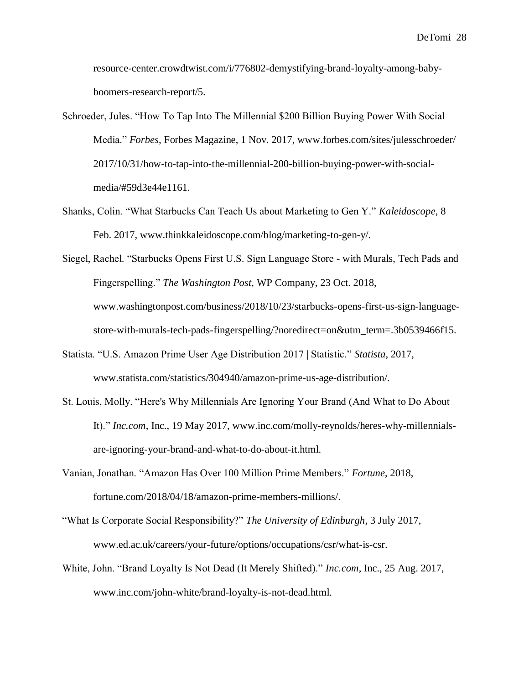resource-center.crowdtwist.com/i/776802-demystifying-brand-loyalty-among-babyboomers-research-report/5.

- Schroeder, Jules. "How To Tap Into The Millennial \$200 Billion Buying Power With Social Media." *Forbes*, Forbes Magazine, 1 Nov. 2017, www.forbes.com/sites/julesschroeder/ 2017/10/31/how-to-tap-into-the-millennial-200-billion-buying-power-with-socialmedia/#59d3e44e1161.
- Shanks, Colin. "What Starbucks Can Teach Us about Marketing to Gen Y." *Kaleidoscope*, 8 Feb. 2017, www.thinkkaleidoscope.com/blog/marketing-to-gen-y/.
- Siegel, Rachel. "Starbucks Opens First U.S. Sign Language Store with Murals, Tech Pads and Fingerspelling." *The Washington Post*, WP Company, 23 Oct. 2018, www.washingtonpost.com/business/2018/10/23/starbucks-opens-first-us-sign-languagestore-with-murals-tech-pads-fingerspelling/?noredirect=on&utm\_term=.3b0539466f15.
- Statista. "U.S. Amazon Prime User Age Distribution 2017 | Statistic." *Statista*, 2017, www.statista.com/statistics/304940/amazon-prime-us-age-distribution/.
- St. Louis, Molly. "Here's Why Millennials Are Ignoring Your Brand (And What to Do About It)." *Inc.com*, Inc., 19 May 2017, www.inc.com/molly-reynolds/heres-why-millennialsare-ignoring-your-brand-and-what-to-do-about-it.html.
- Vanian, Jonathan. "Amazon Has Over 100 Million Prime Members." *Fortune*, 2018, fortune.com/2018/04/18/amazon-prime-members-millions/.
- "What Is Corporate Social Responsibility?" *The University of Edinburgh*, 3 July 2017, www.ed.ac.uk/careers/your-future/options/occupations/csr/what-is-csr.
- White, John. "Brand Loyalty Is Not Dead (It Merely Shifted)." *Inc.com*, Inc., 25 Aug. 2017, www.inc.com/john-white/brand-loyalty-is-not-dead.html.